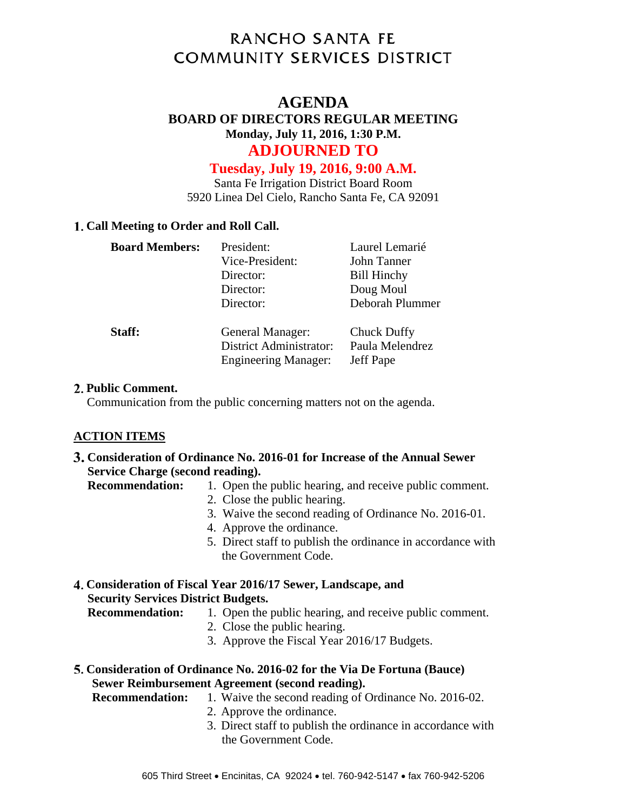# **RANCHO SANTA FE COMMUNITY SERVICES DISTRICT**

# **AGENDA**

# **BOARD OF DIRECTORS REGULAR MEETING Monday, July 11, 2016, 1:30 P.M. ADJOURNED TO**

# **Tuesday, July 19, 2016, 9:00 A.M.**

Santa Fe Irrigation District Board Room 5920 Linea Del Cielo, Rancho Santa Fe, CA 92091

# **Call Meeting to Order and Roll Call.**

| <b>Board Members:</b> | President:                                                                        | Laurel Lemarié                              |
|-----------------------|-----------------------------------------------------------------------------------|---------------------------------------------|
|                       | Vice-President:                                                                   | John Tanner                                 |
|                       | Director:                                                                         | <b>Bill Hinchy</b>                          |
|                       | Director:                                                                         | Doug Moul                                   |
|                       | Director:                                                                         | Deborah Plummer                             |
| Staff:                | General Manager:<br><b>District Administrator:</b><br><b>Engineering Manager:</b> | Chuck Duffy<br>Paula Melendrez<br>Jeff Pape |

#### **Public Comment.**

Communication from the public concerning matters not on the agenda.

# **ACTION ITEMS**

**Consideration of Ordinance No. 2016-01 for Increase of the Annual Sewer Service Charge (second reading).** 

**Recommendation:** 1. Open the public hearing, and receive public comment.

- 2. Close the public hearing.
- 3. Waive the second reading of Ordinance No. 2016-01.
- 4. Approve the ordinance.
- 5. Direct staff to publish the ordinance in accordance with the Government Code.

# **Consideration of Fiscal Year 2016/17 Sewer, Landscape, and Security Services District Budgets.**

- **Recommendation:** 1. Open the public hearing, and receive public comment.
	- 2. Close the public hearing.
	- 3. Approve the Fiscal Year 2016/17 Budgets.
- **Consideration of Ordinance No. 2016-02 for the Via De Fortuna (Bauce) Sewer Reimbursement Agreement (second reading).**

**Recommendation:** 1. Waive the second reading of Ordinance No. 2016-02.

- 2. Approve the ordinance.
- 3. Direct staff to publish the ordinance in accordance with the Government Code.